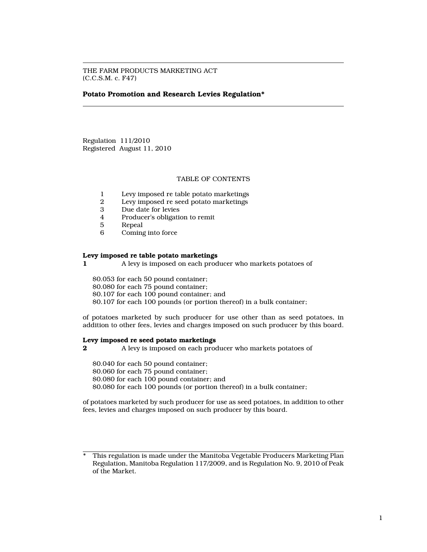THE FARM PRODUCTS MARKETING ACT (C.C.S.M. c. F47)

#### Potato Promotion and Research Levies Regulation\*

Regulation 111/2010 Registered August 11, 2010

# TABLE OF CONTENTS

- 1 Levy imposed re table potato marketings<br>2 Levy imposed re seed potato marketings
- 2 Levy imposed re seed potato marketings<br>3 Due date for levies
- Due date for levies
- 4 Producer's obligation to remit
- 5 Repeal<br>6 Coming
- Coming into force

#### Levy imposed re table potato marketings

1 A levy is imposed on each producer who markets potatoes of

\$0.053 for each 50 pound container;

\$0.080 for each 75 pound container;

\$0.107 for each 100 pound container; and

\$0.107 for each 100 pounds (or portion thereof) in a bulk container;

of potatoes marketed by such producer for use other than as seed potatoes, in addition to other fees, levies and charges imposed on such producer by this board.

#### Levy imposed re seed potato marketings

2 A levy is imposed on each producer who markets potatoes of

\$0.040 for each 50 pound container; \$0.060 for each 75 pound container; \$0.080 for each 100 pound container; and \$0.080 for each 100 pounds (or portion thereof) in a bulk container;

of potatoes marketed by such producer for use as seed potatoes, in addition to other fees, levies and charges imposed on such producer by this board.

This regulation is made under the Manitoba Vegetable Producers Marketing Plan Regulation, Manitoba Regulation 117/2009, and is Regulation No. 9, 2010 of Peak of the Market.